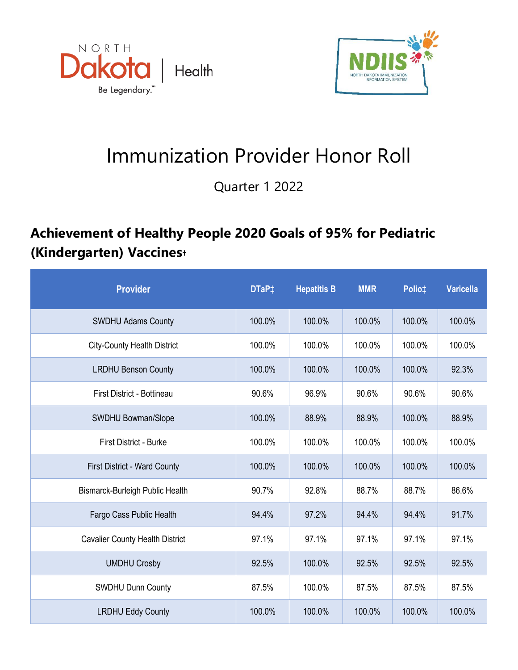



## Immunization Provider Honor Roll

Quarter 1 2022

## **Achievement of Healthy People 2020 Goals of 95% for Pediatric (Kindergarten) Vaccines†**

| <b>Provider</b>                        | DTaP <sup>+</sup> | <b>Hepatitis B</b> | <b>MMR</b> | Polio‡ | <b>Varicella</b> |
|----------------------------------------|-------------------|--------------------|------------|--------|------------------|
| <b>SWDHU Adams County</b>              | 100.0%            | 100.0%             | 100.0%     | 100.0% | 100.0%           |
| <b>City-County Health District</b>     | 100.0%            | 100.0%             | 100.0%     | 100.0% | 100.0%           |
| <b>LRDHU Benson County</b>             | 100.0%            | 100.0%             | 100.0%     | 100.0% | 92.3%            |
| First District - Bottineau             | 90.6%             | 96.9%              | 90.6%      | 90.6%  | 90.6%            |
| SWDHU Bowman/Slope                     | 100.0%            | 88.9%              | 88.9%      | 100.0% | 88.9%            |
| <b>First District - Burke</b>          | 100.0%            | 100.0%             | 100.0%     | 100.0% | 100.0%           |
| <b>First District - Ward County</b>    | 100.0%            | 100.0%             | 100.0%     | 100.0% | 100.0%           |
| Bismarck-Burleigh Public Health        | 90.7%             | 92.8%              | 88.7%      | 88.7%  | 86.6%            |
| Fargo Cass Public Health               | 94.4%             | 97.2%              | 94.4%      | 94.4%  | 91.7%            |
| <b>Cavalier County Health District</b> | 97.1%             | 97.1%              | 97.1%      | 97.1%  | 97.1%            |
| <b>UMDHU Crosby</b>                    | 92.5%             | 100.0%             | 92.5%      | 92.5%  | 92.5%            |
| <b>SWDHU Dunn County</b>               | 87.5%             | 100.0%             | 87.5%      | 87.5%  | 87.5%            |
| <b>LRDHU Eddy County</b>               | 100.0%            | 100.0%             | 100.0%     | 100.0% | 100.0%           |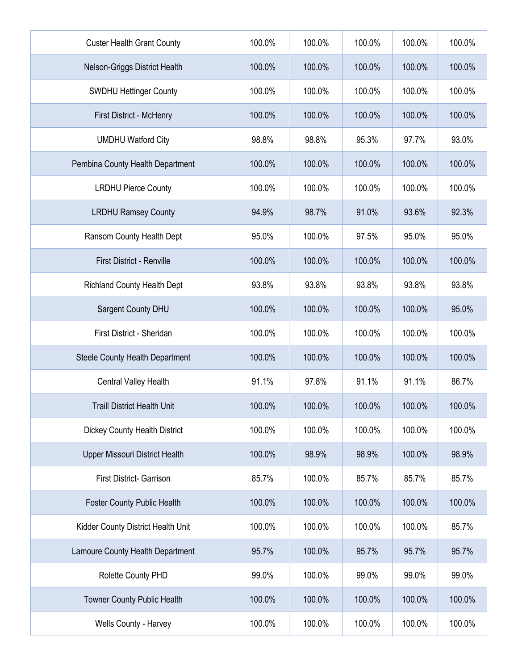| <b>Custer Health Grant County</b>      | 100.0% | 100.0% | 100.0% | 100.0% | 100.0% |
|----------------------------------------|--------|--------|--------|--------|--------|
| Nelson-Griggs District Health          | 100.0% | 100.0% | 100.0% | 100.0% | 100.0% |
| <b>SWDHU Hettinger County</b>          | 100.0% | 100.0% | 100.0% | 100.0% | 100.0% |
| First District - McHenry               | 100.0% | 100.0% | 100.0% | 100.0% | 100.0% |
| <b>UMDHU Watford City</b>              | 98.8%  | 98.8%  | 95.3%  | 97.7%  | 93.0%  |
| Pembina County Health Department       | 100.0% | 100.0% | 100.0% | 100.0% | 100.0% |
| <b>LRDHU Pierce County</b>             | 100.0% | 100.0% | 100.0% | 100.0% | 100.0% |
| <b>LRDHU Ramsey County</b>             | 94.9%  | 98.7%  | 91.0%  | 93.6%  | 92.3%  |
| Ransom County Health Dept              | 95.0%  | 100.0% | 97.5%  | 95.0%  | 95.0%  |
| <b>First District - Renville</b>       | 100.0% | 100.0% | 100.0% | 100.0% | 100.0% |
| <b>Richland County Health Dept</b>     | 93.8%  | 93.8%  | 93.8%  | 93.8%  | 93.8%  |
| Sargent County DHU                     | 100.0% | 100.0% | 100.0% | 100.0% | 95.0%  |
| First District - Sheridan              | 100.0% | 100.0% | 100.0% | 100.0% | 100.0% |
| <b>Steele County Health Department</b> | 100.0% | 100.0% | 100.0% | 100.0% | 100.0% |
| <b>Central Valley Health</b>           | 91.1%  | 97.8%  | 91.1%  | 91.1%  | 86.7%  |
| <b>Traill District Health Unit</b>     | 100.0% | 100.0% | 100.0% | 100.0% | 100.0% |
| <b>Dickey County Health District</b>   | 100.0% | 100.0% | 100.0% | 100.0% | 100.0% |
| Upper Missouri District Health         | 100.0% | 98.9%  | 98.9%  | 100.0% | 98.9%  |
| <b>First District- Garrison</b>        | 85.7%  | 100.0% | 85.7%  | 85.7%  | 85.7%  |
| <b>Foster County Public Health</b>     | 100.0% | 100.0% | 100.0% | 100.0% | 100.0% |
| Kidder County District Health Unit     | 100.0% | 100.0% | 100.0% | 100.0% | 85.7%  |
| Lamoure County Health Department       | 95.7%  | 100.0% | 95.7%  | 95.7%  | 95.7%  |
| Rolette County PHD                     | 99.0%  | 100.0% | 99.0%  | 99.0%  | 99.0%  |
| Towner County Public Health            | 100.0% | 100.0% | 100.0% | 100.0% | 100.0% |
| Wells County - Harvey                  | 100.0% | 100.0% | 100.0% | 100.0% | 100.0% |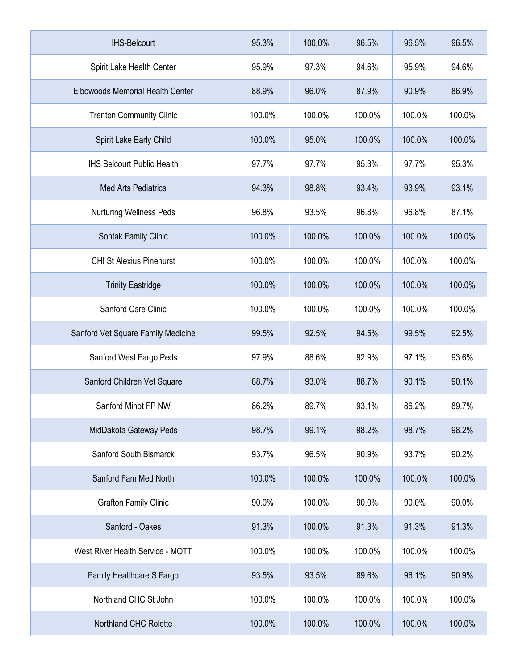| <b>IHS-Belcourt</b>                     | 95.3%  | 100.0% | 96.5%  | 96.5%  | 96.5%  |
|-----------------------------------------|--------|--------|--------|--------|--------|
| Spirit Lake Health Center               | 95.9%  | 97.3%  | 94.6%  | 95.9%  | 94.6%  |
| <b>Elbowoods Memorial Health Center</b> | 88.9%  | 96.0%  | 87.9%  | 90.9%  | 86.9%  |
| <b>Trenton Community Clinic</b>         | 100.0% | 100.0% | 100.0% | 100.0% | 100.0% |
| Spirit Lake Early Child                 | 100.0% | 95.0%  | 100.0% | 100.0% | 100.0% |
| <b>IHS Belcourt Public Health</b>       | 97.7%  | 97.7%  | 95.3%  | 97.7%  | 95.3%  |
| <b>Med Arts Pediatrics</b>              | 94.3%  | 98.8%  | 93.4%  | 93.9%  | 93.1%  |
| <b>Nurturing Wellness Peds</b>          | 96.8%  | 93.5%  | 96.8%  | 96.8%  | 87.1%  |
| Sontak Family Clinic                    | 100.0% | 100.0% | 100.0% | 100.0% | 100.0% |
| <b>CHI St Alexius Pinehurst</b>         | 100.0% | 100.0% | 100.0% | 100.0% | 100.0% |
| <b>Trinity Eastridge</b>                | 100.0% | 100.0% | 100.0% | 100.0% | 100.0% |
| Sanford Care Clinic                     | 100.0% | 100.0% | 100.0% | 100.0% | 100.0% |
| Sanford Vet Square Family Medicine      | 99.5%  | 92.5%  | 94.5%  | 99.5%  | 92.5%  |
| Sanford West Fargo Peds                 | 97.9%  | 88.6%  | 92.9%  | 97.1%  | 93.6%  |
| Sanford Children Vet Square             | 88.7%  | 93.0%  | 88.7%  | 90.1%  | 90.1%  |
| Sanford Minot FP NW                     | 86.2%  | 89.7%  | 93.1%  | 86.2%  | 89.7%  |
| MidDakota Gateway Peds                  | 98.7%  | 99.1%  | 98.2%  | 98.7%  | 98.2%  |
| Sanford South Bismarck                  | 93.7%  | 96.5%  | 90.9%  | 93.7%  | 90.2%  |
| Sanford Fam Med North                   | 100.0% | 100.0% | 100.0% | 100.0% | 100.0% |
| <b>Grafton Family Clinic</b>            | 90.0%  | 100.0% | 90.0%  | 90.0%  | 90.0%  |
| Sanford - Oakes                         | 91.3%  | 100.0% | 91.3%  | 91.3%  | 91.3%  |
| West River Health Service - MOTT        | 100.0% | 100.0% | 100.0% | 100.0% | 100.0% |
| Family Healthcare S Fargo               | 93.5%  | 93.5%  | 89.6%  | 96.1%  | 90.9%  |
| Northland CHC St John                   | 100.0% | 100.0% | 100.0% | 100.0% | 100.0% |
| Northland CHC Rolette                   | 100.0% | 100.0% | 100.0% | 100.0% | 100.0% |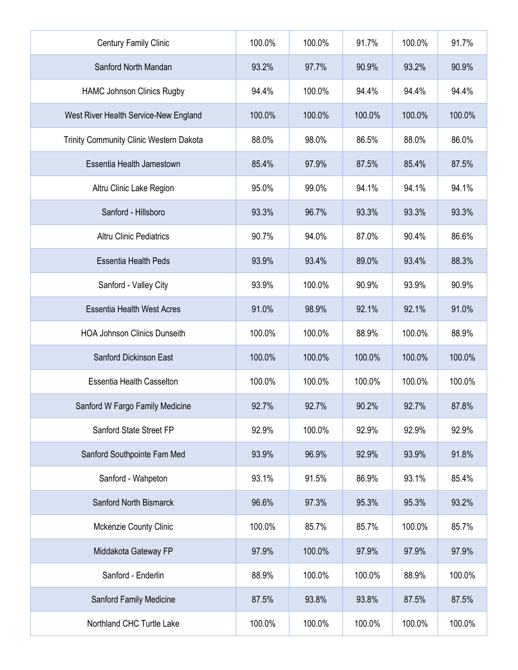| <b>Century Family Clinic</b>            | 100.0% | 100.0% | 91.7%  | 100.0% | 91.7%  |
|-----------------------------------------|--------|--------|--------|--------|--------|
| Sanford North Mandan                    | 93.2%  | 97.7%  | 90.9%  | 93.2%  | 90.9%  |
| <b>HAMC Johnson Clinics Rugby</b>       | 94.4%  | 100.0% | 94.4%  | 94.4%  | 94.4%  |
| West River Health Service-New England   | 100.0% | 100.0% | 100.0% | 100.0% | 100.0% |
| Trinity Community Clinic Western Dakota | 88.0%  | 98.0%  | 86.5%  | 88.0%  | 86.0%  |
| Essentia Health Jamestown               | 85.4%  | 97.9%  | 87.5%  | 85.4%  | 87.5%  |
| Altru Clinic Lake Region                | 95.0%  | 99.0%  | 94.1%  | 94.1%  | 94.1%  |
| Sanford - Hillsboro                     | 93.3%  | 96.7%  | 93.3%  | 93.3%  | 93.3%  |
| <b>Altru Clinic Pediatrics</b>          | 90.7%  | 94.0%  | 87.0%  | 90.4%  | 86.6%  |
| <b>Essentia Health Peds</b>             | 93.9%  | 93.4%  | 89.0%  | 93.4%  | 88.3%  |
| Sanford - Valley City                   | 93.9%  | 100.0% | 90.9%  | 93.9%  | 90.9%  |
| <b>Essentia Health West Acres</b>       | 91.0%  | 98.9%  | 92.1%  | 92.1%  | 91.0%  |
| <b>HOA Johnson Clinics Dunseith</b>     | 100.0% | 100.0% | 88.9%  | 100.0% | 88.9%  |
| Sanford Dickinson East                  | 100.0% | 100.0% | 100.0% | 100.0% | 100.0% |
| <b>Essentia Health Casselton</b>        | 100.0% | 100.0% | 100.0% | 100.0% | 100.0% |
| Sanford W Fargo Family Medicine         | 92.7%  | 92.7%  | 90.2%  | 92.7%  | 87.8%  |
| Sanford State Street FP                 | 92.9%  | 100.0% | 92.9%  | 92.9%  | 92.9%  |
| Sanford Southpointe Fam Med             | 93.9%  | 96.9%  | 92.9%  | 93.9%  | 91.8%  |
| Sanford - Wahpeton                      | 93.1%  | 91.5%  | 86.9%  | 93.1%  | 85.4%  |
| Sanford North Bismarck                  | 96.6%  | 97.3%  | 95.3%  | 95.3%  | 93.2%  |
| Mckenzie County Clinic                  | 100.0% | 85.7%  | 85.7%  | 100.0% | 85.7%  |
| Middakota Gateway FP                    | 97.9%  | 100.0% | 97.9%  | 97.9%  | 97.9%  |
| Sanford - Enderlin                      | 88.9%  | 100.0% | 100.0% | 88.9%  | 100.0% |
| Sanford Family Medicine                 | 87.5%  | 93.8%  | 93.8%  | 87.5%  | 87.5%  |
| Northland CHC Turtle Lake               | 100.0% | 100.0% | 100.0% | 100.0% | 100.0% |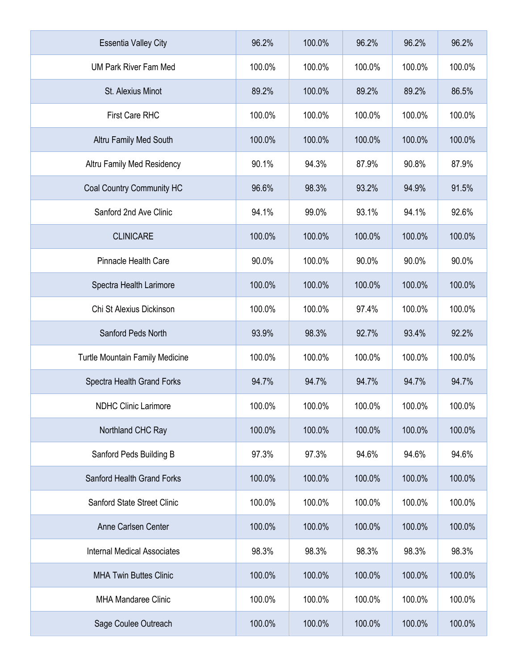| <b>Essentia Valley City</b>            | 96.2%  | 100.0% | 96.2%  | 96.2%  | 96.2%  |
|----------------------------------------|--------|--------|--------|--------|--------|
| <b>UM Park River Fam Med</b>           | 100.0% | 100.0% | 100.0% | 100.0% | 100.0% |
| St. Alexius Minot                      | 89.2%  | 100.0% | 89.2%  | 89.2%  | 86.5%  |
| <b>First Care RHC</b>                  | 100.0% | 100.0% | 100.0% | 100.0% | 100.0% |
| Altru Family Med South                 | 100.0% | 100.0% | 100.0% | 100.0% | 100.0% |
| Altru Family Med Residency             | 90.1%  | 94.3%  | 87.9%  | 90.8%  | 87.9%  |
| Coal Country Community HC              | 96.6%  | 98.3%  | 93.2%  | 94.9%  | 91.5%  |
| Sanford 2nd Ave Clinic                 | 94.1%  | 99.0%  | 93.1%  | 94.1%  | 92.6%  |
| <b>CLINICARE</b>                       | 100.0% | 100.0% | 100.0% | 100.0% | 100.0% |
| <b>Pinnacle Health Care</b>            | 90.0%  | 100.0% | 90.0%  | 90.0%  | 90.0%  |
| Spectra Health Larimore                | 100.0% | 100.0% | 100.0% | 100.0% | 100.0% |
| Chi St Alexius Dickinson               | 100.0% | 100.0% | 97.4%  | 100.0% | 100.0% |
| Sanford Peds North                     | 93.9%  | 98.3%  | 92.7%  | 93.4%  | 92.2%  |
| <b>Turtle Mountain Family Medicine</b> | 100.0% | 100.0% | 100.0% | 100.0% | 100.0% |
| Spectra Health Grand Forks             | 94.7%  | 94.7%  | 94.7%  | 94.7%  | 94.7%  |
| <b>NDHC Clinic Larimore</b>            | 100.0% | 100.0% | 100.0% | 100.0% | 100.0% |
| Northland CHC Ray                      | 100.0% | 100.0% | 100.0% | 100.0% | 100.0% |
| Sanford Peds Building B                | 97.3%  | 97.3%  | 94.6%  | 94.6%  | 94.6%  |
| Sanford Health Grand Forks             | 100.0% | 100.0% | 100.0% | 100.0% | 100.0% |
| Sanford State Street Clinic            | 100.0% | 100.0% | 100.0% | 100.0% | 100.0% |
| Anne Carlsen Center                    | 100.0% | 100.0% | 100.0% | 100.0% | 100.0% |
| <b>Internal Medical Associates</b>     | 98.3%  | 98.3%  | 98.3%  | 98.3%  | 98.3%  |
| <b>MHA Twin Buttes Clinic</b>          | 100.0% | 100.0% | 100.0% | 100.0% | 100.0% |
| <b>MHA Mandaree Clinic</b>             | 100.0% | 100.0% | 100.0% | 100.0% | 100.0% |
| Sage Coulee Outreach                   | 100.0% | 100.0% | 100.0% | 100.0% | 100.0% |